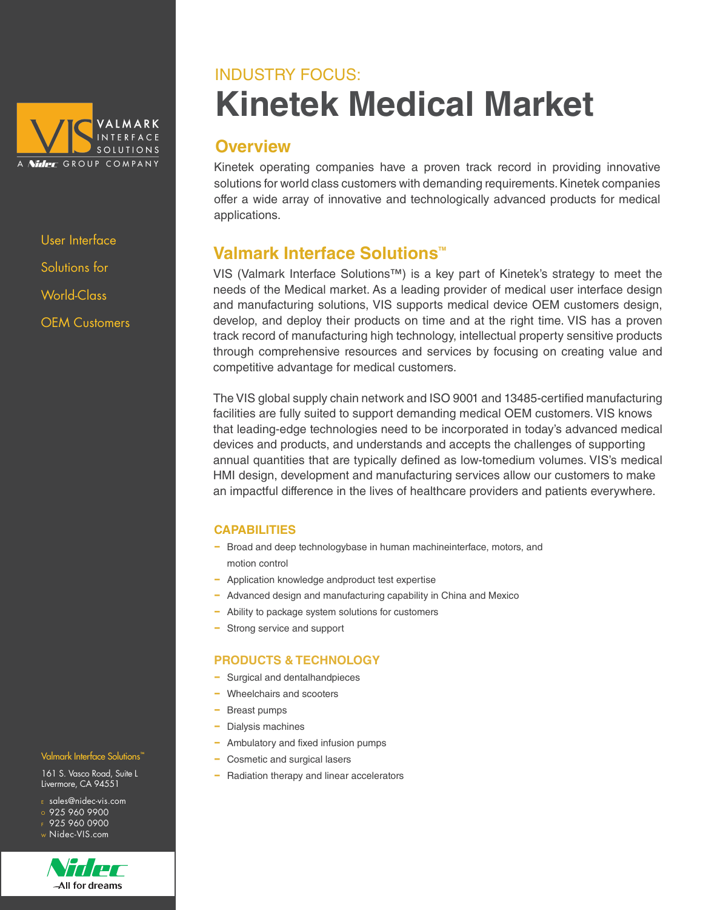

User Interface Solutions for World-Class OEM Customers

# **Kinetek Medical Market** INDUSTRY FOCUS:

### **Overview**

Kinetek operating companies have a proven track record in providing innovative solutions for world class customers with demanding requirements. Kinetek companies offer a wide array of innovative and technologically advanced products for medical applications.

## **Valmark Interface Solutions™**

VIS (Valmark Interface Solutions™) is a key part of Kinetek's strategy to meet the needs of the Medical market. As a leading provider of medical user interface design and manufacturing solutions, VIS supports medical device OEM customers design, develop, and deploy their products on time and at the right time. VIS has a proven track record of manufacturing high technology, intellectual property sensitive products through comprehensive resources and services by focusing on creating value and competitive advantage for medical customers.

The VIS global supply chain network and ISO 9001 and 13485-certified manufacturing facilities are fully suited to support demanding medical OEM customers. VIS knows that leading-edge technologies need to be incorporated in today's advanced medical devices and products, and understands and accepts the challenges of supporting annual quantities that are typically defined as low-tomedium volumes. VIS's medical HMI design, development and manufacturing services allow our customers to make an impactful difference in the lives of healthcare providers and patients everywhere.

### **CAPABILITIES**

- − Broad and deep technologybase in human machineinterface, motors, and motion control
- − Application knowledge andproduct test expertise
- − Advanced design and manufacturing capability in China and Mexico
- − Ability to package system solutions for customers
- Strong service and support

### **PRODUCTS & TECHNOLOGY**

- − Surgical and dentalhandpieces
- − Wheelchairs and scooters
- − Breast pumps
- − Dialysis machines
- − Ambulatory and fixed infusion pumps
- − Cosmetic and surgical lasers
- − Radiation therapy and linear accelerators

#### Valmark Interface Solutions<sup>"</sup>

161 S. Vasco Road, Suite L Livermore, CA 94551

- <sup>E</sup> sales@nidec-vis.com
- o 925 960 9900
- $F$  925 960 0900 <sup>W</sup> Nidec-VIS.com



All for dreams